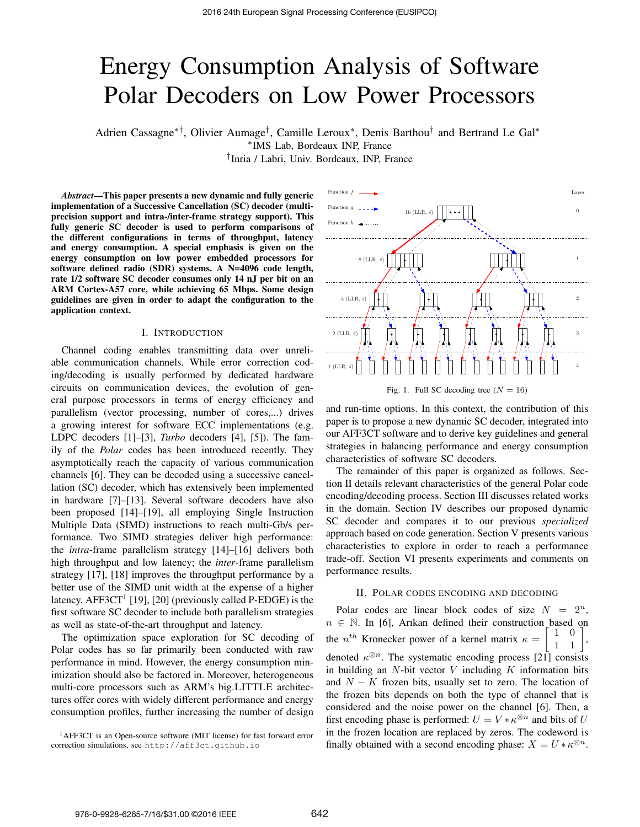# Energy Consumption Analysis of Software Polar Decoders on Low Power Processors

Adrien Cassagne∗†, Olivier Aumage† , Camille Leroux<sup>∗</sup> , Denis Barthou† and Bertrand Le Gal<sup>∗</sup> ∗ IMS Lab, Bordeaux INP, France † Inria / Labri, Univ. Bordeaux, INP, France

*Abstract*—This paper presents a new dynamic and fully generic implementation of a Successive Cancellation (SC) decoder (multiprecision support and intra-/inter-frame strategy support). This fully generic SC decoder is used to perform comparisons of the different configurations in terms of throughput, latency and energy consumption. A special emphasis is given on the energy consumption on low power embedded processors for software defined radio (SDR) systems. A N=4096 code length, rate 1/2 software SC decoder consumes only 14 nJ per bit on an ARM Cortex-A57 core, while achieving 65 Mbps. Some design guidelines are given in order to adapt the configuration to the application context.

#### I. INTRODUCTION

Channel coding enables transmitting data over unreliable communication channels. While error correction coding/decoding is usually performed by dedicated hardware circuits on communication devices, the evolution of general purpose processors in terms of energy efficiency and parallelism (vector processing, number of cores,...) drives a growing interest for software ECC implementations (e.g. LDPC decoders [1]–[3], *Turbo* decoders [4], [5]). The family of the *Polar* codes has been introduced recently. They asymptotically reach the capacity of various communication channels [6]. They can be decoded using a successive cancellation (SC) decoder, which has extensively been implemented in hardware [7]–[13]. Several software decoders have also been proposed [14]–[19], all employing Single Instruction Multiple Data (SIMD) instructions to reach multi-Gb/s performance. Two SIMD strategies deliver high performance: the *intra*-frame parallelism strategy [14]–[16] delivers both high throughput and low latency; the *inter*-frame parallelism strategy [17], [18] improves the throughput performance by a better use of the SIMD unit width at the expense of a higher latency.  $AFF3CT<sup>1</sup>$  [19], [20] (previously called P-EDGE) is the first software SC decoder to include both parallelism strategies as well as state-of-the-art throughput and latency.

The optimization space exploration for SC decoding of Polar codes has so far primarily been conducted with raw performance in mind. However, the energy consumption minimization should also be factored in. Moreover, heterogeneous multi-core processors such as ARM's big.LITTLE architectures offer cores with widely different performance and energy consumption profiles, further increasing the number of design

<sup>1</sup>AFF3CT is an Open-source software (MIT license) for fast forward error correction simulations, see http://aff3ct.github.io



and run-time options. In this context, the contribution of this paper is to propose a new dynamic SC decoder, integrated into our AFF3CT software and to derive key guidelines and general strategies in balancing performance and energy consumption characteristics of software SC decoders.

The remainder of this paper is organized as follows. Section II details relevant characteristics of the general Polar code encoding/decoding process. Section III discusses related works in the domain. Section IV describes our proposed dynamic SC decoder and compares it to our previous *specialized* approach based on code generation. Section V presents various characteristics to explore in order to reach a performance trade-off. Section VI presents experiments and comments on performance results.

# II. POLAR CODES ENCODING AND DECODING

Polar codes are linear block codes of size  $N = 2<sup>n</sup>$ ,  $n \in \mathbb{N}$ . In [6], Arikan defined their construction based on the  $n^{th}$  Kronecker power of a kernel matrix  $\kappa = \begin{bmatrix} 1 & 0 \\ 1 & 1 \end{bmatrix}$ , denoted  $\kappa^{\otimes n}$ . The systematic encoding process [21] consists in building an  $N$ -bit vector  $V$  including  $K$  information bits and  $N - K$  frozen bits, usually set to zero. The location of the frozen bits depends on both the type of channel that is considered and the noise power on the channel [6]. Then, a first encoding phase is performed:  $U = V * \kappa^{\otimes n}$  and bits of U in the frozen location are replaced by zeros. The codeword is finally obtained with a second encoding phase:  $X = U * \kappa^{\otimes n}$ .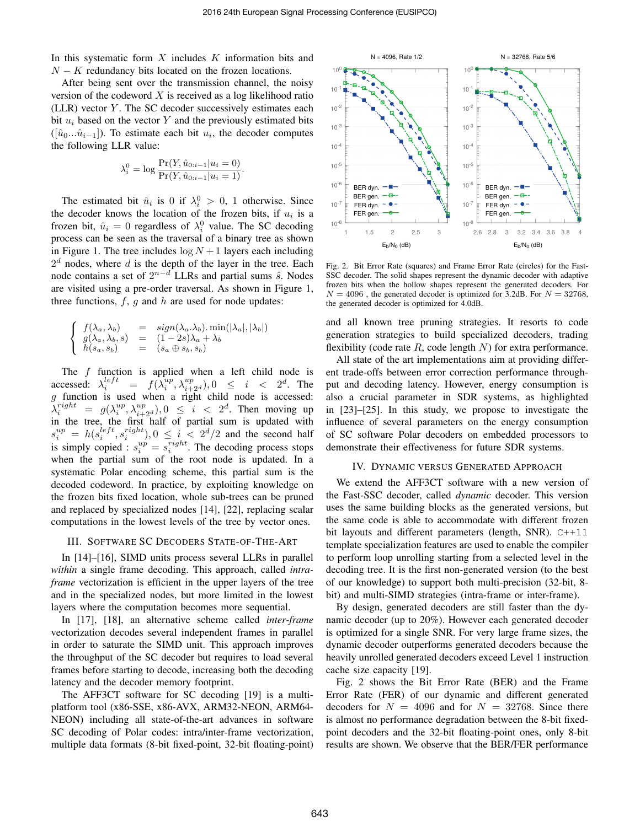In this systematic form  $X$  includes  $K$  information bits and  $N - K$  redundancy bits located on the frozen locations.

After being sent over the transmission channel, the noisy version of the codeword  $X$  is received as a log likelihood ratio  $(LLR)$  vector  $Y$ . The SC decoder successively estimates each bit  $u_i$  based on the vector Y and the previously estimated bits  $([*i*<sub>0</sub>...*i*<sub>i-1</sub>]).$  To estimate each bit  $u_i$ , the decoder computes the following LLR value:

$$
\lambda_i^0 = \log \frac{\Pr(Y, \hat{u}_{0:i-1} | u_i = 0)}{\Pr(Y, \hat{u}_{0:i-1} | u_i = 1)}.
$$

The estimated bit  $\hat{u}_i$  is 0 if  $\lambda_i^0 > 0$ , 1 otherwise. Since the decoder knows the location of the frozen bits, if  $u_i$  is a frozen bit,  $\hat{u}_i = 0$  regardless of  $\lambda_i^0$  value. The SC decoding process can be seen as the traversal of a binary tree as shown in Figure 1. The tree includes  $\log N + 1$  layers each including  $2<sup>d</sup>$  nodes, where d is the depth of the layer in the tree. Each node contains a set of  $2^{n-d}$  LLRs and partial sums  $\hat{s}$ . Nodes are visited using a pre-order traversal. As shown in Figure 1, three functions,  $f$ ,  $g$  and  $h$  are used for node updates:

$$
\begin{cases}\nf(\lambda_a, \lambda_b) = sign(\lambda_a, \lambda_b) \cdot min(|\lambda_a|, |\lambda_b|) \\
g(\lambda_a, \lambda_b, s) = (1 - 2s)\lambda_a + \lambda_b \\
h(s_a, s_b) = (s_a \oplus s_b, s_b)\n\end{cases}
$$

The  $f$  function is applied when a left child node is accessed:  $\lambda_i^{left} = f(\lambda_i^{up}, \lambda_{i+2^d}^{up}), 0 \le i < 2^d$ . The  $g$  function is used when a right child node is accessed:  $\lambda_i^{right} = g(\lambda_i^{up}, \lambda_{i+2^d}^{up}), 0 \leq i < 2^d$ . Then moving up in the tree, the first half of partial sum is updated with  $s_i^{up} = h(s_i^{left}, s_i^{right})$ ,  $0 \le i \le 2^d/2$  and the second half is simply copied :  $s_i^{up} = s_i^{right}$ . The decoding process stops when the partial sum of the root node is updated. In a systematic Polar encoding scheme, this partial sum is the decoded codeword. In practice, by exploiting knowledge on the frozen bits fixed location, whole sub-trees can be pruned and replaced by specialized nodes [14], [22], replacing scalar computations in the lowest levels of the tree by vector ones.

#### III. SOFTWARE SC DECODERS STATE-OF-THE-ART

In [14]–[16], SIMD units process several LLRs in parallel *within* a single frame decoding. This approach, called *intraframe* vectorization is efficient in the upper layers of the tree and in the specialized nodes, but more limited in the lowest layers where the computation becomes more sequential.

In [17], [18], an alternative scheme called *inter-frame* vectorization decodes several independent frames in parallel in order to saturate the SIMD unit. This approach improves the throughput of the SC decoder but requires to load several frames before starting to decode, increasing both the decoding latency and the decoder memory footprint.

The AFF3CT software for SC decoding [19] is a multiplatform tool (x86-SSE, x86-AVX, ARM32-NEON, ARM64- NEON) including all state-of-the-art advances in software SC decoding of Polar codes: intra/inter-frame vectorization, multiple data formats (8-bit fixed-point, 32-bit floating-point)



Fig. 2. Bit Error Rate (squares) and Frame Error Rate (circles) for the Fast-SSC decoder. The solid shapes represent the dynamic decoder with adaptive frozen bits when the hollow shapes represent the generated decoders. For  $N = 4096$ , the generated decoder is optimized for 3.2dB. For  $N = 32768$ , the generated decoder is optimized for 4.0dB.

and all known tree pruning strategies. It resorts to code generation strategies to build specialized decoders, trading flexibility (code rate  $R$ , code length  $N$ ) for extra performance.

All state of the art implementations aim at providing different trade-offs between error correction performance throughput and decoding latency. However, energy consumption is also a crucial parameter in SDR systems, as highlighted in [23]–[25]. In this study, we propose to investigate the influence of several parameters on the energy consumption of SC software Polar decoders on embedded processors to demonstrate their effectiveness for future SDR systems.

# IV. DYNAMIC VERSUS GENERATED APPROACH

We extend the AFF3CT software with a new version of the Fast-SSC decoder, called *dynamic* decoder. This version uses the same building blocks as the generated versions, but the same code is able to accommodate with different frozen bit layouts and different parameters (length, SNR). C++11 template specialization features are used to enable the compiler to perform loop unrolling starting from a selected level in the decoding tree. It is the first non-generated version (to the best of our knowledge) to support both multi-precision (32-bit, 8 bit) and multi-SIMD strategies (intra-frame or inter-frame).

By design, generated decoders are still faster than the dynamic decoder (up to 20%). However each generated decoder is optimized for a single SNR. For very large frame sizes, the dynamic decoder outperforms generated decoders because the heavily unrolled generated decoders exceed Level 1 instruction cache size capacity [19].

Fig. 2 shows the Bit Error Rate (BER) and the Frame Error Rate (FER) of our dynamic and different generated decoders for  $N = 4096$  and for  $N = 32768$ . Since there is almost no performance degradation between the 8-bit fixedpoint decoders and the 32-bit floating-point ones, only 8-bit results are shown. We observe that the BER/FER performance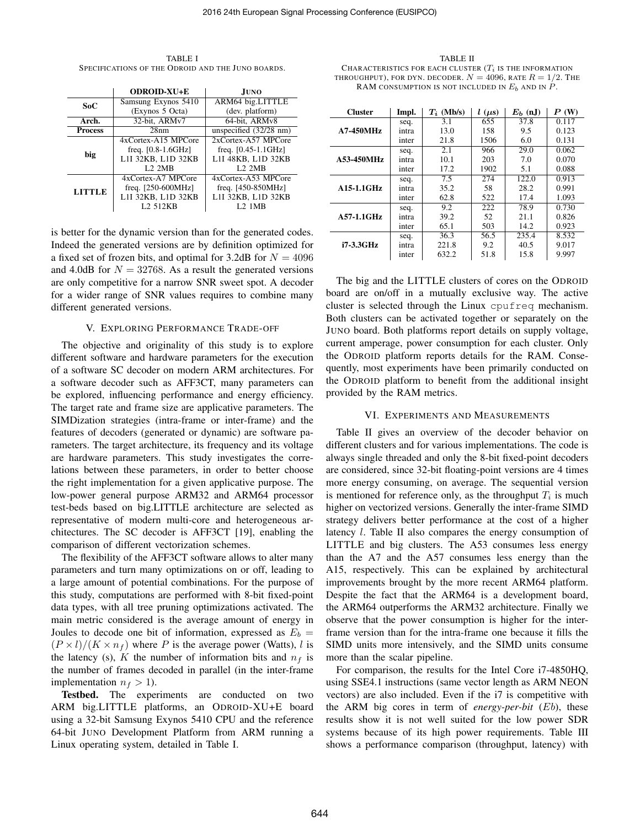TABLE I SPECIFICATIONS OF THE ODROID AND THE JUNO BOARDS.

|                | <b>ODROID-XU+E</b>   | <b>JUNO</b>                   |
|----------------|----------------------|-------------------------------|
| SoC            | Samsung Exynos 5410  | ARM64 big.LITTLE              |
|                | (Exynos 5 Octa)      | (dev. platform)               |
| Arch.          | 32-bit, ARMv7        | 64-bit, ARMv8                 |
| <b>Process</b> | 28nm                 | unspecified (32/28 nm)        |
| big            | 4xCortex-A15 MPCore  | 2xCortex-A57 MPCore           |
|                | freq. $[0.8-1.6GHz]$ | freq. $[0.45-1.1 \text{GHz}]$ |
|                | L1I 32KB, L1D 32KB   | L1I 48KB, L1D 32KB            |
|                | 1.2.2MB              | <b>L2 2MB</b>                 |
| <b>LITTLE</b>  | 4xCortex-A7 MPCore   | 4xCortex-A53 MPCore           |
|                | freq. $[250-600MHz]$ | freq. $[450-850MHz]$          |
|                | L1I 32KB, L1D 32KB   | L1I 32KB, L1D 32KB            |
|                | L <sub>2</sub> 512KB | <b>1.2.1MB</b>                |

is better for the dynamic version than for the generated codes. Indeed the generated versions are by definition optimized for a fixed set of frozen bits, and optimal for 3.2dB for  $N = 4096$ and 4.0dB for  $N = 32768$ . As a result the generated versions are only competitive for a narrow SNR sweet spot. A decoder for a wider range of SNR values requires to combine many different generated versions.

### V. EXPLORING PERFORMANCE TRADE-OFF

The objective and originality of this study is to explore different software and hardware parameters for the execution of a software SC decoder on modern ARM architectures. For a software decoder such as AFF3CT, many parameters can be explored, influencing performance and energy efficiency. The target rate and frame size are applicative parameters. The SIMDization strategies (intra-frame or inter-frame) and the features of decoders (generated or dynamic) are software parameters. The target architecture, its frequency and its voltage are hardware parameters. This study investigates the correlations between these parameters, in order to better choose the right implementation for a given applicative purpose. The low-power general purpose ARM32 and ARM64 processor test-beds based on big.LITTLE architecture are selected as representative of modern multi-core and heterogeneous architectures. The SC decoder is AFF3CT [19], enabling the comparison of different vectorization schemes.

The flexibility of the AFF3CT software allows to alter many parameters and turn many optimizations on or off, leading to a large amount of potential combinations. For the purpose of this study, computations are performed with 8-bit fixed-point data types, with all tree pruning optimizations activated. The main metric considered is the average amount of energy in Joules to decode one bit of information, expressed as  $E_b =$  $(P \times l)/(K \times n_f)$  where P is the average power (Watts), l is the latency (s), K the number of information bits and  $n_f$  is the number of frames decoded in parallel (in the inter-frame implementation  $n_f > 1$ ).

Testbed. The experiments are conducted on two ARM big.LITTLE platforms, an ODROID-XU+E board using a 32-bit Samsung Exynos 5410 CPU and the reference 64-bit JUNO Development Platform from ARM running a Linux operating system, detailed in Table I.

TABLE II CHARACTERISTICS FOR EACH CLUSTER  $(T_i$  is the information THROUGHPUT), FOR DYN. DECODER.  $N = 4096$ , rate  $R = 1/2$ . The RAM CONSUMPTION IS NOT INCLUDED IN  $E_b$  and in  $P$ .

| <b>Cluster</b>    | Impl. | $T_i$ (Mb/s) | $l(\mu s)$ | $E_b$ (nJ) | $\boldsymbol{P}$ (W) |
|-------------------|-------|--------------|------------|------------|----------------------|
| <b>A7-450MHz</b>  | seq.  | 3.1          | 655        | 37.8       | 0.117                |
|                   | intra | 13.0         | 158        | 9.5        | 0.123                |
|                   | inter | 21.8         | 1506       | 6.0        | 0.131                |
| A53-450MHz        | seq.  | 2.1          | 966        | 29.0       | 0.062                |
|                   | intra | 10.1         | 203        | 7.0        | 0.070                |
|                   | inter | 17.2         | 1902       | 5.1        | 0.088                |
| <b>A15-1.1GHz</b> | seq.  | 7.5          | 274        | 122.0      | 0.913                |
|                   | intra | 35.2         | 58         | 28.2       | 0.991                |
|                   | inter | 62.8         | 522        | 17.4       | 1.093                |
|                   | seq.  | 9.2          | 222        | 78.9       | 0.730                |
| <b>A57-1.1GHz</b> | intra | 39.2         | 52         | 21.1       | 0.826                |
|                   | inter | 65.1         | 503        | 14.2       | 0.923                |
| i7-3.3GHz         | seq.  | 36.3         | 56.5       | 235.4      | 8.532                |
|                   | intra | 221.8        | 9.2        | 40.5       | 9.017                |
|                   | inter | 632.2        | 51.8       | 15.8       | 9.997                |

The big and the LITTLE clusters of cores on the ODROID board are on/off in a mutually exclusive way. The active cluster is selected through the Linux cpufreq mechanism. Both clusters can be activated together or separately on the JUNO board. Both platforms report details on supply voltage, current amperage, power consumption for each cluster. Only the ODROID platform reports details for the RAM. Consequently, most experiments have been primarily conducted on the ODROID platform to benefit from the additional insight provided by the RAM metrics.

## VI. EXPERIMENTS AND MEASUREMENTS

Table II gives an overview of the decoder behavior on different clusters and for various implementations. The code is always single threaded and only the 8-bit fixed-point decoders are considered, since 32-bit floating-point versions are 4 times more energy consuming, on average. The sequential version is mentioned for reference only, as the throughput  $T_i$  is much higher on vectorized versions. Generally the inter-frame SIMD strategy delivers better performance at the cost of a higher latency l. Table II also compares the energy consumption of LITTLE and big clusters. The A53 consumes less energy than the A7 and the A57 consumes less energy than the A15, respectively. This can be explained by architectural improvements brought by the more recent ARM64 platform. Despite the fact that the ARM64 is a development board, the ARM64 outperforms the ARM32 architecture. Finally we observe that the power consumption is higher for the interframe version than for the intra-frame one because it fills the SIMD units more intensively, and the SIMD units consume more than the scalar pipeline.

For comparison, the results for the Intel Core i7-4850HQ, using SSE4.1 instructions (same vector length as ARM NEON vectors) are also included. Even if the i7 is competitive with the ARM big cores in term of *energy-per-bit* (Eb), these results show it is not well suited for the low power SDR systems because of its high power requirements. Table III shows a performance comparison (throughput, latency) with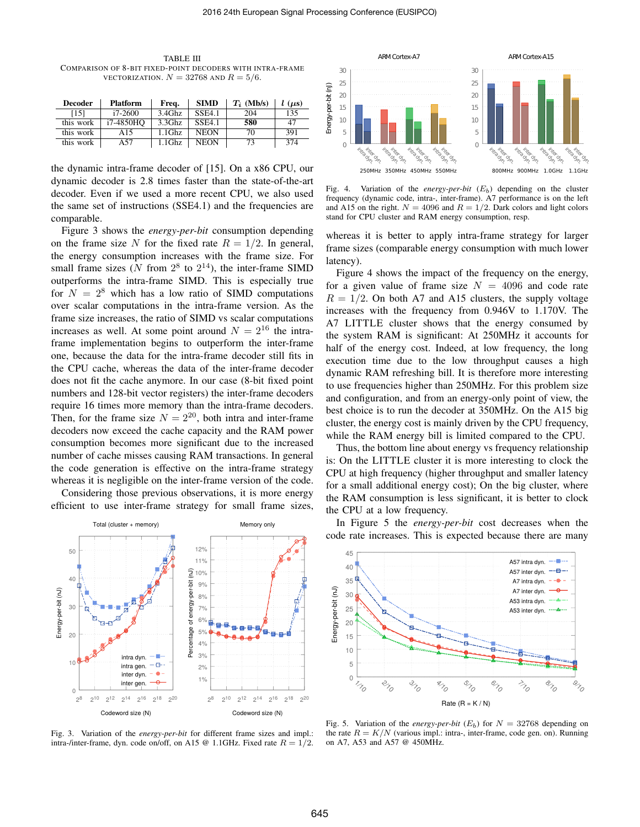TABLE III COMPARISON OF 8-BIT FIXED-POINT DECODERS WITH INTRA-FRAME VECTORIZATION.  $N = 32768$  AND  $R = 5/6$ .

| <b>Decoder</b> | <b>Platform</b> | Freq.     | <b>SIMD</b>   | $T_i$ (Mb/s) | $l(\mu s)$ |
|----------------|-----------------|-----------|---------------|--------------|------------|
| [15]           | $i7-2600$       | $3.4$ Ghz | <b>SSE4.1</b> | 204          | 135        |
| this work      | i7-4850HO       | $3.3$ Ghz | <b>SSE4.1</b> | 580          | 47         |
| this work      | A15             | 1.1Ghz    | <b>NEON</b>   | 70           | 391        |
| this work      | A57             | $1.1$ Ghz | <b>NEON</b>   | 73           | 374        |

the dynamic intra-frame decoder of [15]. On a x86 CPU, our dynamic decoder is 2.8 times faster than the state-of-the-art decoder. Even if we used a more recent CPU, we also used the same set of instructions (SSE4.1) and the frequencies are comparable.

Figure 3 shows the *energy-per-bit* consumption depending on the frame size N for the fixed rate  $R = 1/2$ . In general, the energy consumption increases with the frame size. For small frame sizes (N from  $2^8$  to  $2^{14}$ ), the inter-frame SIMD outperforms the intra-frame SIMD. This is especially true for  $N = 2^8$  which has a low ratio of SIMD computations over scalar computations in the intra-frame version. As the frame size increases, the ratio of SIMD vs scalar computations increases as well. At some point around  $N = 2^{16}$  the intraframe implementation begins to outperform the inter-frame one, because the data for the intra-frame decoder still fits in the CPU cache, whereas the data of the inter-frame decoder does not fit the cache anymore. In our case (8-bit fixed point numbers and 128-bit vector registers) the inter-frame decoders require 16 times more memory than the intra-frame decoders. Then, for the frame size  $N = 2^{20}$ , both intra and inter-frame decoders now exceed the cache capacity and the RAM power consumption becomes more significant due to the increased number of cache misses causing RAM transactions. In general the code generation is effective on the intra-frame strategy whereas it is negligible on the inter-frame version of the code.

Considering those previous observations, it is more energy efficient to use inter-frame strategy for small frame sizes,



Fig. 3. Variation of the *energy-per-bit* for different frame sizes and impl.: intra-/inter-frame, dyn. code on/off, on A15 @ 1.1GHz. Fixed rate  $R = 1/2$ .



Fig. 4. Variation of the *energy-per-bit*  $(E_b)$  depending on the cluster frequency (dynamic code, intra-, inter-frame). A7 performance is on the left and A15 on the right.  $N = 4096$  and  $R = 1/2$ . Dark colors and light colors stand for CPU cluster and RAM energy consumption, resp.

whereas it is better to apply intra-frame strategy for larger frame sizes (comparable energy consumption with much lower latency).

Figure 4 shows the impact of the frequency on the energy, for a given value of frame size  $N = 4096$  and code rate  $R = 1/2$ . On both A7 and A15 clusters, the supply voltage increases with the frequency from 0.946V to 1.170V. The A7 LITTLE cluster shows that the energy consumed by the system RAM is significant: At 250MHz it accounts for half of the energy cost. Indeed, at low frequency, the long execution time due to the low throughput causes a high dynamic RAM refreshing bill. It is therefore more interesting to use frequencies higher than 250MHz. For this problem size and configuration, and from an energy-only point of view, the best choice is to run the decoder at 350MHz. On the A15 big cluster, the energy cost is mainly driven by the CPU frequency, while the RAM energy bill is limited compared to the CPU.

Thus, the bottom line about energy vs frequency relationship is: On the LITTLE cluster it is more interesting to clock the CPU at high frequency (higher throughput and smaller latency for a small additional energy cost); On the big cluster, where the RAM consumption is less significant, it is better to clock the CPU at a low frequency.

In Figure 5 the *energy-per-bit* cost decreases when the code rate increases. This is expected because there are many



Fig. 5. Variation of the *energy-per-bit*  $(E_b)$  for  $N = 32768$  depending on the rate  $R = K/N$  (various impl.: intra-, inter-frame, code gen. on). Running on A7, A53 and A57 @ 450MHz.